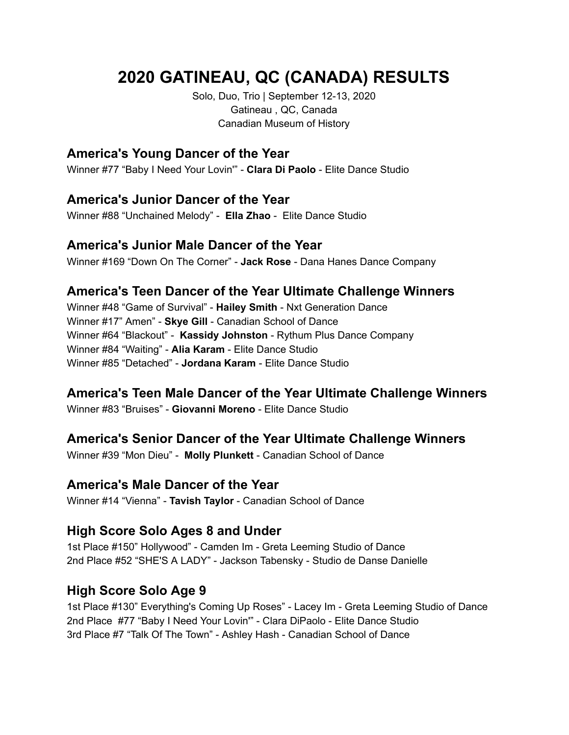# **2020 GATINEAU, QC (CANADA) RESULTS**

Solo, Duo, Trio | September 12-13, 2020 Gatineau , QC, Canada Canadian Museum of History

## **America's Young Dancer of the Year**

Winner #77 "Baby I Need Your Lovin'" - **Clara Di Paolo** - Elite Dance Studio

## **America's Junior Dancer of the Year**

Winner #88 "Unchained Melody" - **Ella Zhao** - Elite Dance Studio

#### **America's Junior Male Dancer of the Year**

Winner #169 "Down On The Corner" - **Jack Rose** - Dana Hanes Dance Company

## **America's Teen Dancer of the Year Ultimate Challenge Winners**

Winner #48 "Game of Survival" - **Hailey Smith** - Nxt Generation Dance Winner #17" Amen" - **Skye Gill** - Canadian School of Dance Winner #64 "Blackout" - **Kassidy Johnston** - Rythum Plus Dance Company Winner #84 "Waiting" - **Alia Karam** - Elite Dance Studio Winner #85 "Detached" - **Jordana Karam** - Elite Dance Studio

# **America's Teen Male Dancer of the Year Ultimate Challenge Winners**

Winner #83 "Bruises" - **Giovanni Moreno** - Elite Dance Studio

# **America's Senior Dancer of the Year Ultimate Challenge Winners**

Winner #39 "Mon Dieu" - **Molly Plunkett** - Canadian School of Dance

## **America's Male Dancer of the Year**

Winner #14 "Vienna" - **Tavish Taylor** - Canadian School of Dance

## **High Score Solo Ages 8 and Under**

1st Place #150" Hollywood" - Camden Im - Greta Leeming Studio of Dance 2nd Place #52 "SHE'S A LADY" - Jackson Tabensky - Studio de Danse Danielle

# **High Score Solo Age 9**

1st Place #130" Everything's Coming Up Roses" - Lacey Im - Greta Leeming Studio of Dance 2nd Place #77 "Baby I Need Your Lovin'" - Clara DiPaolo - Elite Dance Studio 3rd Place #7 "Talk Of The Town" - Ashley Hash - Canadian School of Dance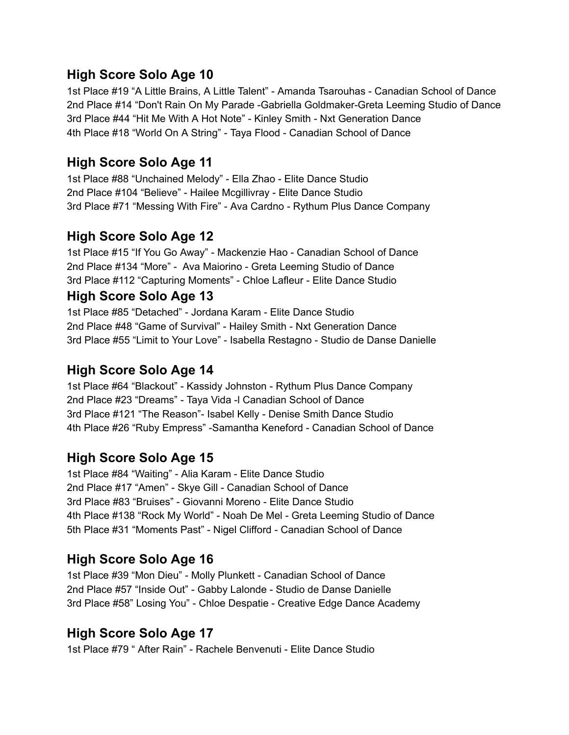## **High Score Solo Age 10**

1st Place #19 "A Little Brains, A Little Talent" - Amanda Tsarouhas - Canadian School of Dance 2nd Place #14 "Don't Rain On My Parade -Gabriella Goldmaker-Greta Leeming Studio of Dance 3rd Place #44 "Hit Me With A Hot Note" - Kinley Smith - Nxt Generation Dance 4th Place #18 "World On A String" - Taya Flood - Canadian School of Dance

## **High Score Solo Age 11**

1st Place #88 "Unchained Melody" - Ella Zhao - Elite Dance Studio 2nd Place #104 "Believe" - Hailee Mcgillivray - Elite Dance Studio 3rd Place #71 "Messing With Fire" - Ava Cardno - Rythum Plus Dance Company

## **High Score Solo Age 12**

1st Place #15 "If You Go Away" - Mackenzie Hao - Canadian School of Dance 2nd Place #134 "More" - Ava Maiorino - Greta Leeming Studio of Dance 3rd Place #112 "Capturing Moments" - Chloe Lafleur - Elite Dance Studio

## **High Score Solo Age 13**

1st Place #85 "Detached" - Jordana Karam - Elite Dance Studio 2nd Place #48 "Game of Survival" - Hailey Smith - Nxt Generation Dance 3rd Place #55 "Limit to Your Love" - Isabella Restagno - Studio de Danse Danielle

## **High Score Solo Age 14**

1st Place #64 "Blackout" - Kassidy Johnston - Rythum Plus Dance Company 2nd Place #23 "Dreams" - Taya Vida -l Canadian School of Dance 3rd Place #121 "The Reason"- Isabel Kelly - Denise Smith Dance Studio 4th Place #26 "Ruby Empress" -Samantha Keneford - Canadian School of Dance

## **High Score Solo Age 15**

1st Place #84 "Waiting" - Alia Karam - Elite Dance Studio 2nd Place #17 "Amen" - Skye Gill - Canadian School of Dance 3rd Place #83 "Bruises" - Giovanni Moreno - Elite Dance Studio 4th Place #138 "Rock My World" - Noah De Mel - Greta Leeming Studio of Dance 5th Place #31 "Moments Past" - Nigel Clifford - Canadian School of Dance

## **High Score Solo Age 16**

1st Place #39 "Mon Dieu" - Molly Plunkett - Canadian School of Dance 2nd Place #57 "Inside Out" - Gabby Lalonde - Studio de Danse Danielle 3rd Place #58" Losing You" - Chloe Despatie - Creative Edge Dance Academy

## **High Score Solo Age 17**

1st Place #79 " After Rain" - Rachele Benvenuti - Elite Dance Studio